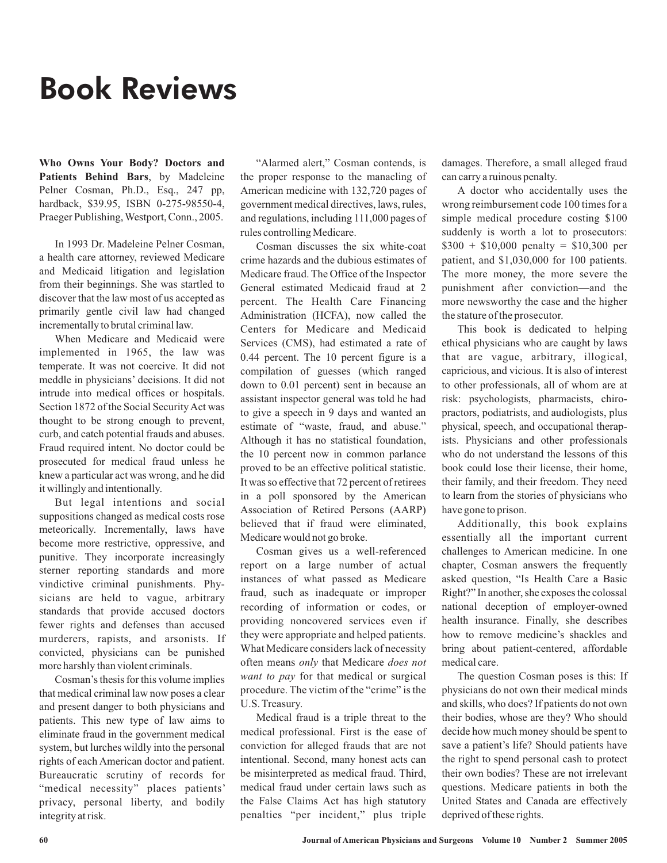## Book Reviews

**Who Owns Your Body? Doctors and Patients Behind Bars**, by Madeleine Pelner Cosman, Ph.D., Esq., 247 pp, hardback, \$39.95, ISBN 0-275-98550-4, Praeger Publishing, Westport, Conn., 2005.

In 1993 Dr. Madeleine Pelner Cosman, a health care attorney, reviewed Medicare and Medicaid litigation and legislation from their beginnings. She was startled to discover that the law most of us accepted as primarily gentle civil law had changed incrementally to brutal criminal law.

When Medicare and Medicaid were implemented in 1965, the law was temperate. It was not coercive. It did not meddle in physicians' decisions. It did not intrude into medical offices or hospitals. Section 1872 of the Social SecurityAct was thought to be strong enough to prevent, curb, and catch potential frauds and abuses. Fraud required intent. No doctor could be prosecuted for medical fraud unless he knew a particular act was wrong, and he did it willingly and intentionally.

But legal intentions and social suppositions changed as medical costs rose meteorically. Incrementally, laws have become more restrictive, oppressive, and punitive. They incorporate increasingly sterner reporting standards and more vindictive criminal punishments. Physicians are held to vague, arbitrary standards that provide accused doctors fewer rights and defenses than accused murderers, rapists, and arsonists. If convicted, physicians can be punished more harshly than violent criminals.

Cosman's thesis for this volume implies that medical criminal law now poses a clear and present danger to both physicians and patients. This new type of law aims to eliminate fraud in the government medical system, but lurches wildly into the personal rights of each American doctor and patient. Bureaucratic scrutiny of records for "medical necessity" places patients' privacy, personal liberty, and bodily integrity at risk.

"Alarmed alert," Cosman contends, is the proper response to the manacling of American medicine with 132,720 pages of government medical directives, laws, rules, and regulations, including 111,000 pages of rules controlling Medicare.

Cosman discusses the six white-coat crime hazards and the dubious estimates of Medicare fraud. The Office of the Inspector General estimated Medicaid fraud at 2 percent. The Health Care Financing Administration (HCFA), now called the Centers for Medicare and Medicaid Services (CMS), had estimated a rate of 0.44 percent. The 10 percent figure is a compilation of guesses (which ranged down to 0.01 percent) sent in because an assistant inspector general was told he had to give a speech in 9 days and wanted an estimate of "waste, fraud, and abuse." Although it has no statistical foundation, the 10 percent now in common parlance proved to be an effective political statistic. It was so effective that 72 percent of retirees in a poll sponsored by the American Association of Retired Persons (AARP) believed that if fraud were eliminated, Medicare would not go broke.

Cosman gives us a well-referenced report on a large number of actual instances of what passed as Medicare fraud, such as inadequate or improper recording of information or codes, or providing noncovered services even if they were appropriate and helped patients. What Medicare considers lack of necessity often means only that Medicare does not want to pay for that medical or surgical procedure. The victim of the "crime" is the U.S. Treasury.

Medical fraud is a triple threat to the medical professional. First is the ease of conviction for alleged frauds that are not intentional. Second, many honest acts can be misinterpreted as medical fraud. Third, medical fraud under certain laws such as the False Claims Act has high statutory penalties "per incident," plus triple

damages. Therefore, a small alleged fraud can carry a ruinous penalty.

A doctor who accidentally uses the wrong reimbursement code 100 times for a simple medical procedure costing \$100 suddenly is worth a lot to prosecutors:  $$300 + $10,000$  penalty = \$10,300 per patient, and \$1,030,000 for 100 patients. The more money, the more severe the punishment after conviction—and the more newsworthy the case and the higher the stature of the prosecutor.

This book is dedicated to helping ethical physicians who are caught by laws that are vague, arbitrary, illogical, capricious, and vicious. It is also of interest to other professionals, all of whom are at risk: psychologists, pharmacists, chiropractors, podiatrists, and audiologists, plus physical, speech, and occupational therapists. Physicians and other professionals who do not understand the lessons of this book could lose their license, their home, their family, and their freedom. They need to learn from the stories of physicians who have gone to prison.

Additionally, this book explains essentially all the important current challenges to American medicine. In one chapter, Cosman answers the frequently asked question, "Is Health Care a Basic Right?" In another, she exposes the colossal national deception of employer-owned health insurance. Finally, she describes how to remove medicine's shackles and bring about patient-centered, affordable medical care.

The question Cosman poses is this: If physicians do not own their medical minds and skills, who does? If patients do not own their bodies, whose are they? Who should decide how much money should be spent to save a patient's life? Should patients have the right to spend personal cash to protect their own bodies? These are not irrelevant questions. Medicare patients in both the United States and Canada are effectively deprived of these rights.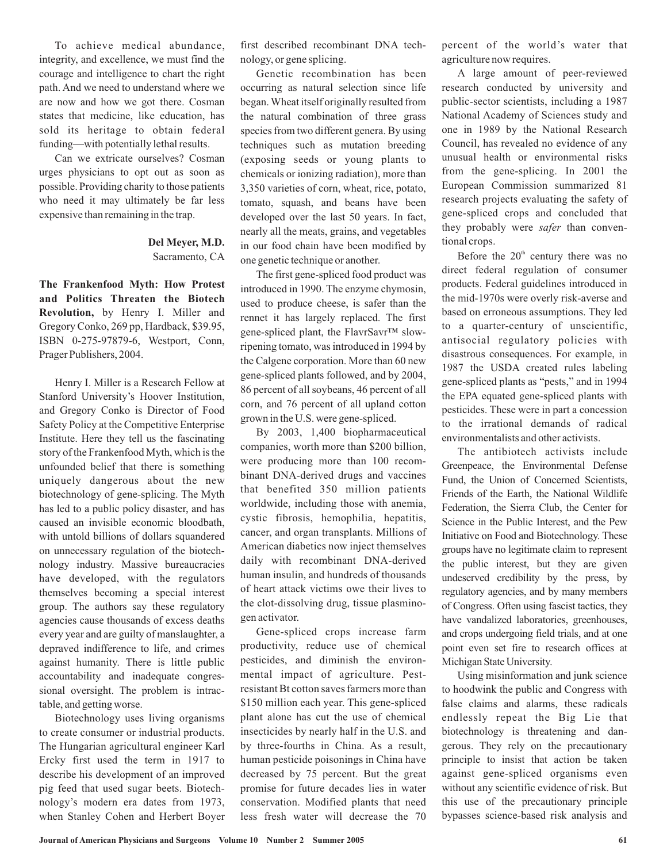To achieve medical abundance, integrity, and excellence, we must find the courage and intelligence to chart the right path. And we need to understand where we are now and how we got there. Cosman states that medicine, like education, has sold its heritage to obtain federal funding—with potentially lethal results.

Can we extricate ourselves? Cosman urges physicians to opt out as soon as possible. Providing charity to those patients who need it may ultimately be far less expensive than remaining in the trap.

## Sacramento, CA **Del Meyer, M.D.**

by Henry I. Miller and **Revolution,** Gregory Conko, 269 pp, Hardback, \$39.95, ISBN 0-275-97879-6, Westport, Conn, Prager Publishers, 2004. **The Frankenfood Myth: How Protest and Politics Threaten the Biotech**

Henry I. Miller is a Research Fellow at Stanford University's Hoover Institution, and Gregory Conko is Director of Food Safety Policy at the Competitive Enterprise Institute. Here they tell us the fascinating story of the Frankenfood Myth, which is the unfounded belief that there is something uniquely dangerous about the new biotechnology of gene-splicing. The Myth has led to a public policy disaster, and has caused an invisible economic bloodbath, with untold billions of dollars squandered on unnecessary regulation of the biotechnology industry. Massive bureaucracies have developed, with the regulators themselves becoming a special interest group. The authors say these regulatory agencies cause thousands of excess deaths every year and are guilty of manslaughter, a depraved indifference to life, and crimes against humanity. There is little public accountability and inadequate congressional oversight. The problem is intractable, and getting worse.

Biotechnology uses living organisms to create consumer or industrial products. The Hungarian agricultural engineer Karl Ercky first used the term in 1917 to describe his development of an improved pig feed that used sugar beets. Biotechnology's modern era dates from 1973, when Stanley Cohen and Herbert Boyer first described recombinant DNA technology, or gene splicing.

Genetic recombination has been occurring as natural selection since life began.Wheat itself originally resulted from the natural combination of three grass species from two different genera. By using techniques such as mutation breeding (exposing seeds or young plants to chemicals or ionizing radiation), more than 3,350 varieties of corn, wheat, rice, potato, tomato, squash, and beans have been developed over the last 50 years. In fact, nearly all the meats, grains, and vegetables in our food chain have been modified by one genetic technique or another.

The first gene-spliced food product was introduced in 1990. The enzyme chymosin, used to produce cheese, is safer than the rennet it has largely replaced. The first gene-spliced plant, the FlavrSavr™ slowripening tomato, was introduced in 1994 by the Calgene corporation. More than 60 new gene-spliced plants followed, and by 2004, 86 percent of all soybeans, 46 percent of all corn, and 76 percent of all upland cotton grown in the U.S. were gene-spliced.

By 2003, 1,400 biopharmaceutical companies, worth more than \$200 billion, were producing more than 100 recombinant DNA-derived drugs and vaccines that benefited 350 million patients worldwide, including those with anemia, cystic fibrosis, hemophilia, hepatitis, cancer, and organ transplants. Millions of American diabetics now inject themselves daily with recombinant DNA-derived human insulin, and hundreds of thousands of heart attack victims owe their lives to the clot-dissolving drug, tissue plasminogen activator.

Gene-spliced crops increase farm productivity, reduce use of chemical pesticides, and diminish the environmental impact of agriculture. Pestresistant Bt cotton saves farmers more than \$150 million each year. This gene-spliced plant alone has cut the use of chemical insecticides by nearly half in the U.S. and by three-fourths in China. As a result, human pesticide poisonings in China have decreased by 75 percent. But the great promise for future decades lies in water conservation. Modified plants that need less fresh water will decrease the 70

percent of the world's water that agriculture now requires.

A large amount of peer-reviewed research conducted by university and public-sector scientists, including a 1987 National Academy of Sciences study and one in 1989 by the National Research Council, has revealed no evidence of any unusual health or environmental risks from the gene-splicing. In 2001 the European Commission summarized 81 research projects evaluating the safety of gene-spliced crops and concluded that they probably were safer than conventional crops.

Before the  $20<sup>th</sup>$  century there was no direct federal regulation of consumer products. Federal guidelines introduced in the mid-1970s were overly risk-averse and based on erroneous assumptions. They led to a quarter-century of unscientific, antisocial regulatory policies with disastrous consequences. For example, in 1987 the USDA created rules labeling gene-spliced plants as "pests," and in 1994 the EPA equated gene-spliced plants with pesticides. These were in part a concession to the irrational demands of radical environmentalists and other activists.

The antibiotech activists include Greenpeace, the Environmental Defense Fund, the Union of Concerned Scientists, Friends of the Earth, the National Wildlife Federation, the Sierra Club, the Center for Science in the Public Interest, and the Pew Initiative on Food and Biotechnology. These groups have no legitimate claim to represent the public interest, but they are given undeserved credibility by the press, by regulatory agencies, and by many members of Congress. Often using fascist tactics, they have vandalized laboratories, greenhouses, and crops undergoing field trials, and at one point even set fire to research offices at Michigan State University.

Using misinformation and junk science to hoodwink the public and Congress with false claims and alarms, these radicals endlessly repeat the Big Lie that biotechnology is threatening and dangerous. They rely on the precautionary principle to insist that action be taken against gene-spliced organisms even without any scientific evidence of risk. But this use of the precautionary principle bypasses science-based risk analysis and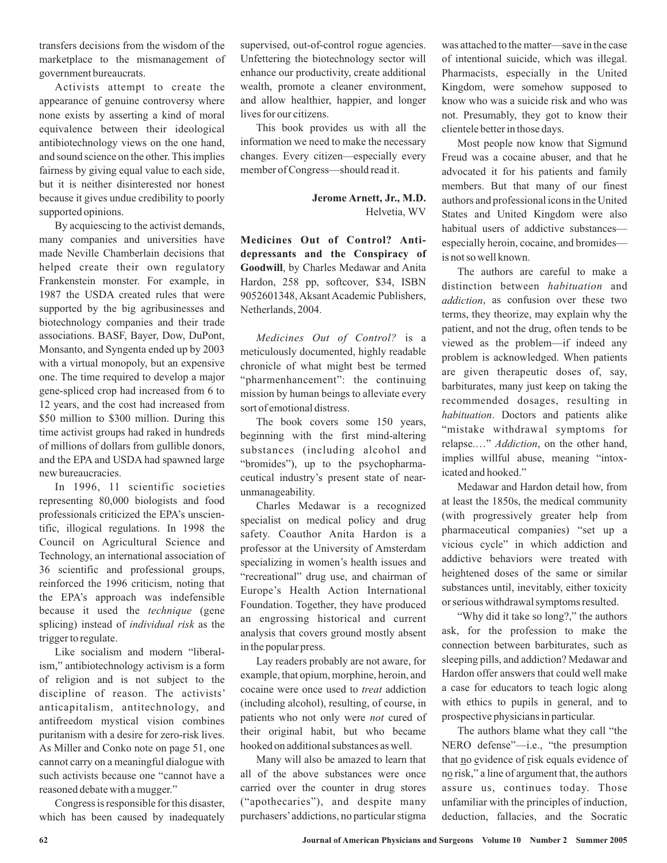transfers decisions from the wisdom of the marketplace to the mismanagement of government bureaucrats.

Activists attempt to create the appearance of genuine controversy where none exists by asserting a kind of moral equivalence between their ideological antibiotechnology views on the one hand, and sound science on the other. This implies fairness by giving equal value to each side, but it is neither disinterested nor honest because it gives undue credibility to poorly supported opinions.

By acquiescing to the activist demands, many companies and universities have made Neville Chamberlain decisions that helped create their own regulatory Frankenstein monster. For example, in 1987 the USDA created rules that were supported by the big agribusinesses and biotechnology companies and their trade associations. BASF, Bayer, Dow, DuPont, Monsanto, and Syngenta ended up by 2003 with a virtual monopoly, but an expensive one. The time required to develop a major gene-spliced crop had increased from 6 to 12 years, and the cost had increased from \$50 million to \$300 million. During this time activist groups had raked in hundreds of millions of dollars from gullible donors, and the EPA and USDA had spawned large new bureaucracies.

In 1996, 11 scientific societies representing 80,000 biologists and food professionals criticized the EPA's unscientific, illogical regulations. In 1998 the Council on Agricultural Science and Technology, an international association of 36 scientific and professional groups, reinforced the 1996 criticism, noting that the EPA's approach was indefensible because it used the technique (gene splicing) instead of *individual risk* as the trigger to regulate.

Like socialism and modern "liberalism," antibiotechnology activism is a form of religion and is not subject to the discipline of reason. The activists' anticapitalism, antitechnology, and antifreedom mystical vision combines puritanism with a desire for zero-risk lives. As Miller and Conko note on page 51, one cannot carry on a meaningful dialogue with such activists because one "cannot have a reasoned debate with a mugger."

Congress is responsible for this disaster, which has been caused by inadequately supervised, out-of-control rogue agencies. Unfettering the biotechnology sector will enhance our productivity, create additional wealth, promote a cleaner environment, and allow healthier, happier, and longer lives for our citizens.

This book provides us with all the information we need to make the necessary changes. Every citizen—especially every member of Congress—should read it.

> Helvetia, WV **Jerome Arnett, Jr., M.D.**

Goodwill, by Charles Medawar and Anita Hardon, 258 pp, softcover, \$34, ISBN 9052601348, Aksant Academic Publishers, Netherlands, 2004. **Medicines Out of Control? Antidepressants and the Conspiracy of**

*Medicines Out of Control?* is a meticulously documented, highly readable chronicle of what might best be termed "pharmenhancement": the continuing mission by human beings to alleviate every sort of emotional distress.

The book covers some 150 years, beginning with the first mind-altering substances (including alcohol and "bromides"), up to the psychopharmaceutical industry's present state of nearunmanageability.

Charles Medawar is a recognized specialist on medical policy and drug safety. Coauthor Anita Hardon is a professor at the University of Amsterdam specializing in women's health issues and "recreational" drug use, and chairman of Europe's Health Action International Foundation. Together, they have produced an engrossing historical and current analysis that covers ground mostly absent in the popular press.

Lay readers probably are not aware, for example, that opium, morphine, heroin, and cocaine were once used to *treat* addiction (including alcohol), resulting, of course, in patients who not only were *not* cured of their original habit, but who became hooked on additional substances as well.

Many will also be amazed to learn that all of the above substances were once carried over the counter in drug stores ("apothecaries"), and despite many purchasers'addictions, no particular stigma was attached to the matter—save in the case of intentional suicide, which was illegal. Pharmacists, especially in the United Kingdom, were somehow supposed to know who was a suicide risk and who was not. Presumably, they got to know their clientele better in those days.

Most people now know that Sigmund Freud was a cocaine abuser, and that he advocated it for his patients and family members. But that many of our finest authors and professional icons in the United States and United Kingdom were also habitual users of addictive substances especially heroin, cocaine, and bromides is not so well known.

The authors are careful to make a distinction between *habituation* and addiction, as confusion over these two terms, they theorize, may explain why the patient, and not the drug, often tends to be viewed as the problem—if indeed any problem is acknowledged. When patients are given therapeutic doses of, say, barbiturates, many just keep on taking the recommended dosages, resulting in . Doctors and patients alike *habituation* "mistake withdrawal symptoms for relapse...." *Addiction*, on the other hand, implies willful abuse, meaning "intoxicated and hooked."

Medawar and Hardon detail how, from at least the 1850s, the medical community (with progressively greater help from pharmaceutical companies) "set up a vicious cycle" in which addiction and addictive behaviors were treated with heightened doses of the same or similar substances until, inevitably, either toxicity or serious withdrawal symptoms resulted.

"Why did it take so long?," the authors ask, for the profession to make the connection between barbiturates, such as sleeping pills, and addiction? Medawar and Hardon offer answers that could well make a case for educators to teach logic along with ethics to pupils in general, and to prospective physicians in particular.

The authors blame what they call "the NERO defense"—i.e., "the presumption that no evidence of risk equals evidence of no risk," a line of argument that, the authors assure us, continues today. Those unfamiliar with the principles of induction, deduction, fallacies, and the Socratic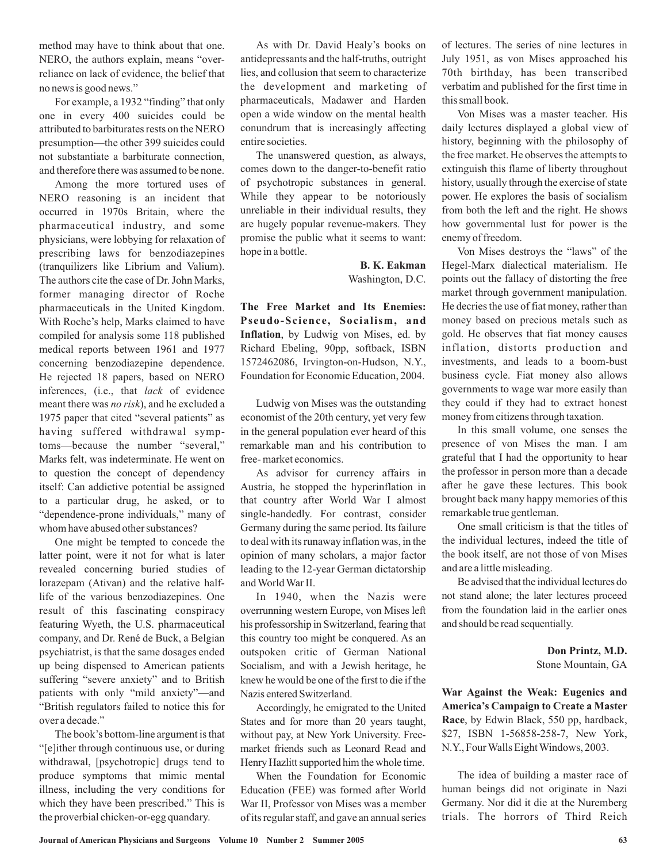method may have to think about that one. NERO, the authors explain, means "overreliance on lack of evidence, the belief that no news is good news."

For example, a 1932 "finding" that only one in every 400 suicides could be attributed to barbiturates rests on the NERO presumption—the other 399 suicides could not substantiate a barbiturate connection, and therefore there was assumed to be none.

Among the more tortured uses of NERO reasoning is an incident that occurred in 1970s Britain, where the pharmaceutical industry, and some physicians, were lobbying for relaxation of prescribing laws for benzodiazepines (tranquilizers like Librium and Valium). The authors cite the case of Dr. John Marks, former managing director of Roche pharmaceuticals in the United Kingdom. With Roche's help, Marks claimed to have compiled for analysis some 118 published medical reports between 1961 and 1977 concerning benzodiazepine dependence. He rejected 18 papers, based on NERO inferences, (i.e., that *lack* of evidence meant there was *no risk*), and he excluded a 1975 paper that cited "several patients" as having suffered withdrawal symptoms—because the number "several," Marks felt, was indeterminate. He went on to question the concept of dependency itself: Can addictive potential be assigned to a particular drug, he asked, or to "dependence-prone individuals," many of whom have abused other substances?

One might be tempted to concede the latter point, were it not for what is later revealed concerning buried studies of lorazepam (Ativan) and the relative halflife of the various benzodiazepines. One result of this fascinating conspiracy featuring Wyeth, the U.S. pharmaceutical company, and Dr. René de Buck, a Belgian psychiatrist, is that the same dosages ended up being dispensed to American patients suffering "severe anxiety" and to British patients with only "mild anxiety"—and "British regulators failed to notice this for over a decade."

The book's bottom-line argument is that "[e]ither through continuous use, or during withdrawal, [psychotropic] drugs tend to produce symptoms that mimic mental illness, including the very conditions for which they have been prescribed." This is the proverbial chicken-or-egg quandary.

As with Dr. David Healy's books on antidepressants and the half-truths, outright lies, and collusion that seem to characterize the development and marketing of pharmaceuticals, Madawer and Harden open a wide window on the mental health conundrum that is increasingly affecting entire societies.

The unanswered question, as always, comes down to the danger-to-benefit ratio of psychotropic substances in general. While they appear to be notoriously unreliable in their individual results, they are hugely popular revenue-makers. They promise the public what it seems to want: hope in a bottle.

> Washington, D.C. **B. K. Eakman**

Inflation, by Ludwig von Mises, ed. by Richard Ebeling, 90pp, softback, ISBN 1572462086, Irvington-on-Hudson, N.Y., Foundation for Economic Education, 2004. **The Free Market and Its Enemies: Pseudo-Science, Socialism, and**

Ludwig von Mises was the outstanding economist of the 20th century, yet very few in the general population ever heard of this remarkable man and his contribution to free- market economics.

As advisor for currency affairs in Austria, he stopped the hyperinflation in that country after World War I almost single-handedly. For contrast, consider Germany during the same period. Its failure to deal with its runaway inflation was, in the opinion of many scholars, a major factor leading to the 12-year German dictatorship andWorldWar II.

In 1940, when the Nazis were overrunning western Europe, von Mises left his professorship in Switzerland, fearing that this country too might be conquered. As an outspoken critic of German National Socialism, and with a Jewish heritage, he knew he would be one of the first to die if the Nazis entered Switzerland.

Accordingly, he emigrated to the United States and for more than 20 years taught, without pay, at New York University. Freemarket friends such as Leonard Read and Henry Hazlitt supported him the whole time.

When the Foundation for Economic Education (FEE) was formed after World War II, Professor von Mises was a member of its regular staff, and gave an annual series

of lectures. The series of nine lectures in July 1951, as von Mises approached his 70th birthday, has been transcribed verbatim and published for the first time in this small book.

Von Mises was a master teacher. His daily lectures displayed a global view of history, beginning with the philosophy of the free market. He observes the attempts to extinguish this flame of liberty throughout history, usually through the exercise of state power. He explores the basis of socialism from both the left and the right. He shows how governmental lust for power is the enemy of freedom.

Von Mises destroys the "laws" of the Hegel-Marx dialectical materialism. He points out the fallacy of distorting the free market through government manipulation. He decries the use of fiat money, rather than money based on precious metals such as gold. He observes that fiat money causes inflation, distorts production and investments, and leads to a boom-bust business cycle. Fiat money also allows governments to wage war more easily than they could if they had to extract honest money from citizens through taxation.

In this small volume, one senses the presence of von Mises the man. I am grateful that I had the opportunity to hear the professor in person more than a decade after he gave these lectures. This book brought back many happy memories of this remarkable true gentleman.

One small criticism is that the titles of the individual lectures, indeed the title of the book itself, are not those of von Mises and are a little misleading.

Be advised that the individual lectures do not stand alone; the later lectures proceed from the foundation laid in the earlier ones and should be read sequentially.

> Stone Mountain, GA **Don Printz, M.D.**

Race, by Edwin Black, 550 pp, hardback, \$27, ISBN 1-56858-258-7, New York, N.Y., Four Walls Eight Windows, 2003. **War Against the Weak: Eugenics and America's Campaign to Create a Master**

The idea of building a master race of human beings did not originate in Nazi Germany. Nor did it die at the Nuremberg trials. The horrors of Third Reich